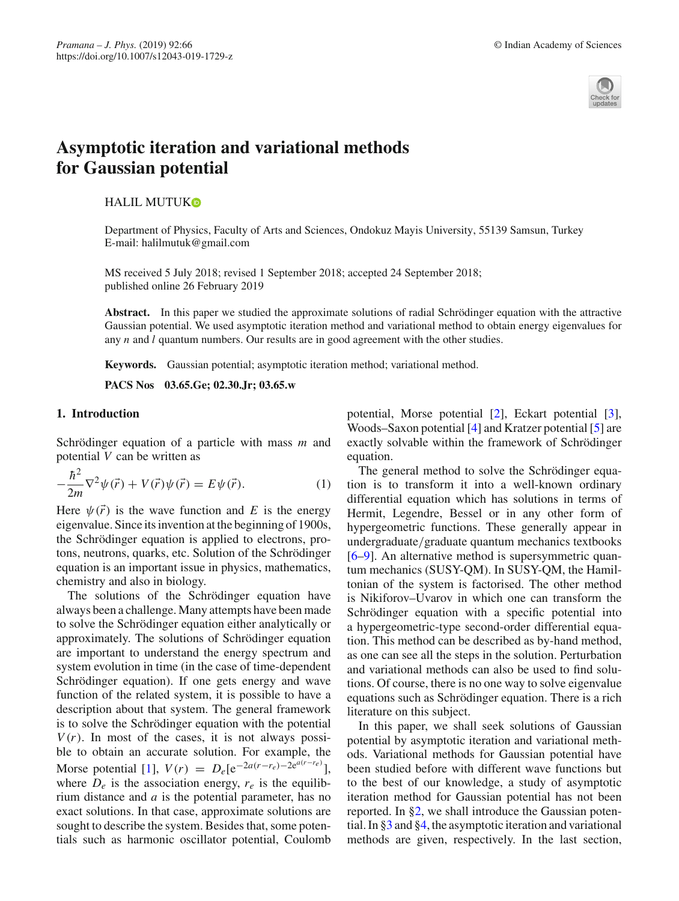

# **Asymptotic iteration and variational methods for Gaussian potential**

HALIL MUTU[K](http://orcid.org/0000-0002-6794-0879)

Department of Physics, Faculty of Arts and Sciences, Ondokuz Mayis University, 55139 Samsun, Turkey E-mail: halilmutuk@gmail.com

MS received 5 July 2018; revised 1 September 2018; accepted 24 September 2018; published online 26 February 2019

**Abstract.** In this paper we studied the approximate solutions of radial Schrödinger equation with the attractive Gaussian potential. We used asymptotic iteration method and variational method to obtain energy eigenvalues for any *n* and *l* quantum numbers. Our results are in good agreement with the other studies.

**Keywords.** Gaussian potential; asymptotic iteration method; variational method.

**PACS Nos 03.65.Ge; 02.30.Jr; 03.65.w**

## **1. Introduction**

Schrödinger equation of a particle with mass *m* and potential *V* can be written as

$$
-\frac{\hbar^2}{2m}\nabla^2\psi(\vec{r}) + V(\vec{r})\psi(\vec{r}) = E\psi(\vec{r}).
$$
 (1)

Here  $\psi(\vec{r})$  is the wave function and *E* is the energy eigenvalue. Since its invention at the beginning of 1900s, the Schrödinger equation is applied to electrons, protons, neutrons, quarks, etc. Solution of the Schrödinger equation is an important issue in physics, mathematics, chemistry and also in biology.

The solutions of the Schrödinger equation have always been a challenge. Many attempts have been made to solve the Schrödinger equation either analytically or approximately. The solutions of Schrödinger equation are important to understand the energy spectrum and system evolution in time (in the case of time-dependent Schrödinger equation). If one gets energy and wave function of the related system, it is possible to have a description about that system. The general framework is to solve the Schrödinger equation with the potential  $V(r)$ . In most of the cases, it is not always possible to obtain an accurate solution. For example, the Morse potential [\[1](#page-4-0)],  $V(r) = D_e[e^{-2a(r-r_e)-2e^{a(r-r_e)}}],$ where  $D_e$  is the association energy,  $r_e$  is the equilibrium distance and *a* is the potential parameter, has no exact solutions. In that case, approximate solutions are sought to describe the system. Besides that, some potentials such as harmonic oscillator potential, Coulomb potential, Morse potential [\[2\]](#page-4-1), Eckart potential [\[3](#page-4-2)], Woods–Saxon potential [\[4](#page-4-3)] and Kratzer potential [\[5\]](#page-4-4) are exactly solvable within the framework of Schrödinger equation.

The general method to solve the Schrödinger equation is to transform it into a well-known ordinary differential equation which has solutions in terms of Hermit, Legendre, Bessel or in any other form of hypergeometric functions. These generally appear in undergraduate/graduate quantum mechanics textbooks [\[6](#page-4-5)[–9\]](#page-4-6). An alternative method is supersymmetric quantum mechanics (SUSY-QM). In SUSY-QM, the Hamiltonian of the system is factorised. The other method is Nikiforov–Uvarov in which one can transform the Schrödinger equation with a specific potential into a hypergeometric-type second-order differential equation. This method can be described as by-hand method, as one can see all the steps in the solution. Perturbation and variational methods can also be used to find solutions. Of course, there is no one way to solve eigenvalue equations such as Schrödinger equation. There is a rich literature on this subject.

In this paper, we shall seek solutions of Gaussian potential by asymptotic iteration and variational methods. Variational methods for Gaussian potential have been studied before with different wave functions but to the best of our knowledge, a study of asymptotic iteration method for Gaussian potential has not been reported. In [§2,](#page-1-0) we shall introduce the Gaussian potential. In [§3](#page-1-1) and [§4,](#page-2-0) the asymptotic iteration and variational methods are given, respectively. In the last section,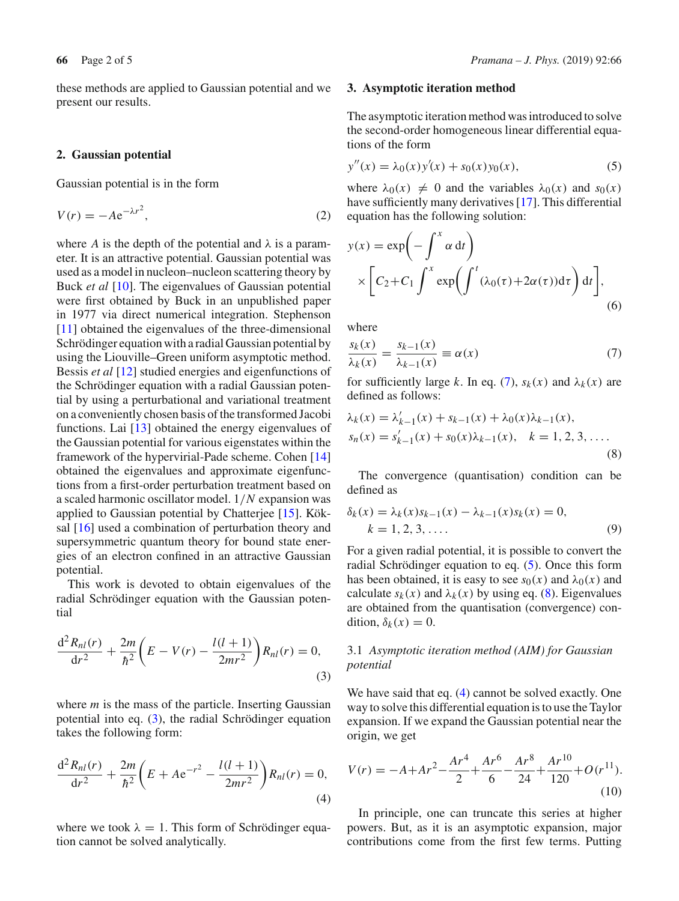these methods are applied to Gaussian potential and we present our results.

#### <span id="page-1-0"></span>**2. Gaussian potential**

Gaussian potential is in the form

$$
V(r) = -Ae^{-\lambda r^2},\tag{2}
$$

where *A* is the depth of the potential and  $\lambda$  is a parameter. It is an attractive potential. Gaussian potential was used as a model in nucleon–nucleon scattering theory by Buck *et al* [\[10](#page-4-7)]. The eigenvalues of Gaussian potential were first obtained by Buck in an unpublished paper in 1977 via direct numerical integration. Stephenson [\[11](#page-4-8)] obtained the eigenvalues of the three-dimensional Schrödinger equation with a radial Gaussian potential by using the Liouville–Green uniform asymptotic method. Bessis *et al* [\[12\]](#page-4-9) studied energies and eigenfunctions of the Schrödinger equation with a radial Gaussian potential by using a perturbational and variational treatment on a conveniently chosen basis of the transformed Jacobi functions. Lai [\[13\]](#page-4-10) obtained the energy eigenvalues of the Gaussian potential for various eigenstates within the framework of the hypervirial-Pade scheme. Cohen [\[14\]](#page-4-11) obtained the eigenvalues and approximate eigenfunctions from a first-order perturbation treatment based on a scaled harmonic oscillator model. 1/*N* expansion was applied to Gaussian potential by Chatterjee [\[15\]](#page-4-12). Köksal [\[16](#page-4-13)] used a combination of perturbation theory and supersymmetric quantum theory for bound state energies of an electron confined in an attractive Gaussian potential.

<span id="page-1-2"></span>This work is devoted to obtain eigenvalues of the radial Schrödinger equation with the Gaussian potential

$$
\frac{d^2 R_{nl}(r)}{dr^2} + \frac{2m}{\hbar^2} \left( E - V(r) - \frac{l(l+1)}{2mr^2} \right) R_{nl}(r) = 0,
$$
\n(3)

where *m* is the mass of the particle. Inserting Gaussian potential into eq. [\(3\)](#page-1-2), the radial Schrödinger equation takes the following form:

<span id="page-1-6"></span>
$$
\frac{d^2 R_{nl}(r)}{dr^2} + \frac{2m}{\hbar^2} \left( E + Ae^{-r^2} - \frac{l(l+1)}{2mr^2} \right) R_{nl}(r) = 0,
$$
\n(4)

where we took  $\lambda = 1$ . This form of Schrödinger equation cannot be solved analytically.

## **66** Page 2 of 5 *Pramana – J. Phys.* (2019) 92:66

## <span id="page-1-1"></span>**3. Asymptotic iteration method**

The asymptotic iteration method was introduced to solve the second-order homogeneous linear differential equations of the form

<span id="page-1-4"></span>
$$
y''(x) = \lambda_0(x)y'(x) + s_0(x)y_0(x),
$$
\n(5)

where  $\lambda_0(x) \neq 0$  and the variables  $\lambda_0(x)$  and  $s_0(x)$ have sufficiently many derivatives [\[17](#page-4-14)]. This differential equation has the following solution:

$$
y(x) = \exp\left(-\int^x \alpha \, dt\right)
$$
  
 
$$
\times \left[C_2 + C_1 \int^x \exp\left(\int^t (\lambda_0(\tau) + 2\alpha(\tau)) d\tau\right) dt\right],
$$
 (6)

<span id="page-1-3"></span>where

$$
\frac{s_k(x)}{\lambda_k(x)} = \frac{s_{k-1}(x)}{\lambda_{k-1}(x)} \equiv \alpha(x) \tag{7}
$$

for sufficiently large *k*. In eq. [\(7\)](#page-1-3),  $s_k(x)$  and  $\lambda_k(x)$  are defined as follows:

<span id="page-1-5"></span>
$$
\lambda_k(x) = \lambda'_{k-1}(x) + s_{k-1}(x) + \lambda_0(x)\lambda_{k-1}(x),
$$
  
\n
$$
s_n(x) = s'_{k-1}(x) + s_0(x)\lambda_{k-1}(x), \quad k = 1, 2, 3, ....
$$
\n(8)

The convergence (quantisation) condition can be defined as

<span id="page-1-7"></span>
$$
\delta_k(x) = \lambda_k(x)s_{k-1}(x) - \lambda_{k-1}(x)s_k(x) = 0, \nk = 1, 2, 3, ....
$$
\n(9)

For a given radial potential, it is possible to convert the radial Schrödinger equation to eq. [\(5\)](#page-1-4). Once this form has been obtained, it is easy to see  $s_0(x)$  and  $\lambda_0(x)$  and calculate  $s_k(x)$  and  $\lambda_k(x)$  by using eq. [\(8\)](#page-1-5). Eigenvalues are obtained from the quantisation (convergence) condition,  $\delta_k(x) = 0$ .

## 3.1 *Asymptotic iteration method (AIM) for Gaussian potential*

We have said that eq. [\(4\)](#page-1-6) cannot be solved exactly. One way to solve this differential equation is to use the Taylor expansion. If we expand the Gaussian potential near the origin, we get

$$
V(r) = -A + Ar^2 - \frac{Ar^4}{2} + \frac{Ar^6}{6} - \frac{Ar^8}{24} + \frac{Ar^{10}}{120} + O(r^{11}).
$$
\n(10)

In principle, one can truncate this series at higher powers. But, as it is an asymptotic expansion, major contributions come from the first few terms. Putting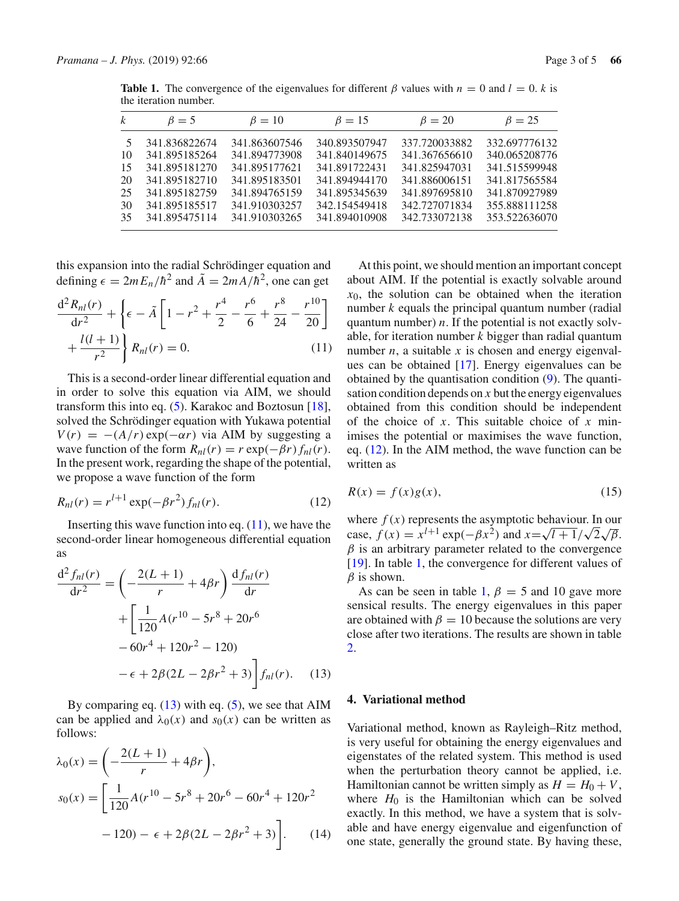<span id="page-2-4"></span>

| $\mathbf{k}$ | $\beta = 5$   | $\beta = 10$  | $\beta = 15$  | $\beta = 20$  | $\beta = 25$  |
|--------------|---------------|---------------|---------------|---------------|---------------|
| 5.           | 341.836822674 | 341.863607546 | 340.893507947 | 337.720033882 | 332.697776132 |
| 10           | 341.895185264 | 341.894773908 | 341.840149675 | 341.367656610 | 340.065208776 |
| 15           | 341.895181270 | 341.895177621 | 341.891722431 | 341.825947031 | 341.515599948 |
| 20           | 341.895182710 | 341.895183501 | 341.894944170 | 341.886006151 | 341.817565584 |
| 25.          | 341.895182759 | 341.894765159 | 341.895345639 | 341.897695810 | 341.870927989 |
| 30           | 341.895185517 | 341.910303257 | 342.154549418 | 342.727071834 | 355.888111258 |
| 35.          | 341.895475114 | 341.910303265 | 341.894010908 | 342.733072138 | 353.522636070 |
|              |               |               |               |               |               |

**Table 1.** The convergence of the eigenvalues for different  $\beta$  values with  $n = 0$  and  $l = 0$ . *k* is the iteration number.

this expansion into the radial Schrödinger equation and defining  $\epsilon = 2mE_n/\hbar^2$  and  $\tilde{A} = 2mA/\hbar^2$ , one can get

<span id="page-2-1"></span>
$$
\frac{d^2 R_{nl}(r)}{dr^2} + \left\{ \epsilon - \tilde{A} \left[ 1 - r^2 + \frac{r^4}{2} - \frac{r^6}{6} + \frac{r^8}{24} - \frac{r^{10}}{20} \right] + \frac{l(l+1)}{r^2} \right\} R_{nl}(r) = 0.
$$
 (11)

This is a second-order linear differential equation and in order to solve this equation via AIM, we should transform this into eq. [\(5\)](#page-1-4). Karakoc and Boztosun [\[18](#page-4-15)], solved the Schrödinger equation with Yukawa potential  $V(r) = -(A/r) \exp(-\alpha r)$  via AIM by suggesting a wave function of the form  $R_{nl}(r) = r \exp(-\beta r) f_{nl}(r)$ . In the present work, regarding the shape of the potential, we propose a wave function of the form

$$
R_{nl}(r) = r^{l+1} \exp(-\beta r^2) f_{nl}(r).
$$
 (12)

Inserting this wave function into eq.  $(11)$ , we have the second-order linear homogeneous differential equation as

<span id="page-2-2"></span>
$$
\frac{d^2 f_{nl}(r)}{dr^2} = \left(-\frac{2(L+1)}{r} + 4\beta r\right) \frac{df_{nl}(r)}{dr} + \left[\frac{1}{120}A(r^{10} - 5r^8 + 20r^6 - 60r^4 + 120r^2 - 120) - \epsilon + 2\beta(2L - 2\beta r^2 + 3)\right] f_{nl}(r).
$$
 (13)

By comparing eq.  $(13)$  with eq.  $(5)$ , we see that AIM can be applied and  $\lambda_0(x)$  and  $s_0(x)$  can be written as follows:

$$
\lambda_0(x) = \left(-\frac{2(L+1)}{r} + 4\beta r\right),
$$
  
\n
$$
s_0(x) = \left[\frac{1}{120}A(r^{10} - 5r^8 + 20r^6 - 60r^4 + 120r^2 - 120) - \epsilon + 2\beta(2L - 2\beta r^2 + 3)\right].
$$
 (14)

At this point, we should mention an important concept about AIM. If the potential is exactly solvable around  $x<sub>0</sub>$ , the solution can be obtained when the iteration number *k* equals the principal quantum number (radial quantum number) *n*. If the potential is not exactly solvable, for iteration number *k* bigger than radial quantum number  $n$ , a suitable  $x$  is chosen and energy eigenvalues can be obtained [\[17](#page-4-14)]. Energy eigenvalues can be obtained by the quantisation condition [\(9\)](#page-1-7). The quantisation condition depends on *x* but the energy eigenvalues obtained from this condition should be independent of the choice of *x*. This suitable choice of *x* minimises the potential or maximises the wave function, eq. [\(12\)](#page-2-3). In the AIM method, the wave function can be written as

<span id="page-2-3"></span>
$$
R(x) = f(x)g(x),
$$
\n(15)

where  $f(x)$  represents the asymptotic behaviour. In our case,  $f(x) = x^{l+1} \exp(-\beta x^2)$  and  $x = \sqrt{l+1}/\sqrt{2}\sqrt{\beta}$ .  $\beta$  is an arbitrary parameter related to the convergence [\[19](#page-4-16)]. In table [1,](#page-2-4) the convergence for different values of  $\beta$  is shown.

As can be seen in table [1,](#page-2-4)  $\beta = 5$  and 10 gave more sensical results. The energy eigenvalues in this paper are obtained with  $\beta = 10$  because the solutions are very close after two iterations. The results are shown in table [2.](#page-3-0)

## <span id="page-2-0"></span>**4. Variational method**

Variational method, known as Rayleigh–Ritz method, is very useful for obtaining the energy eigenvalues and eigenstates of the related system. This method is used when the perturbation theory cannot be applied, i.e. Hamiltonian cannot be written simply as  $H = H_0 + V$ , where  $H_0$  is the Hamiltonian which can be solved exactly. In this method, we have a system that is solvable and have energy eigenvalue and eigenfunction of one state, generally the ground state. By having these,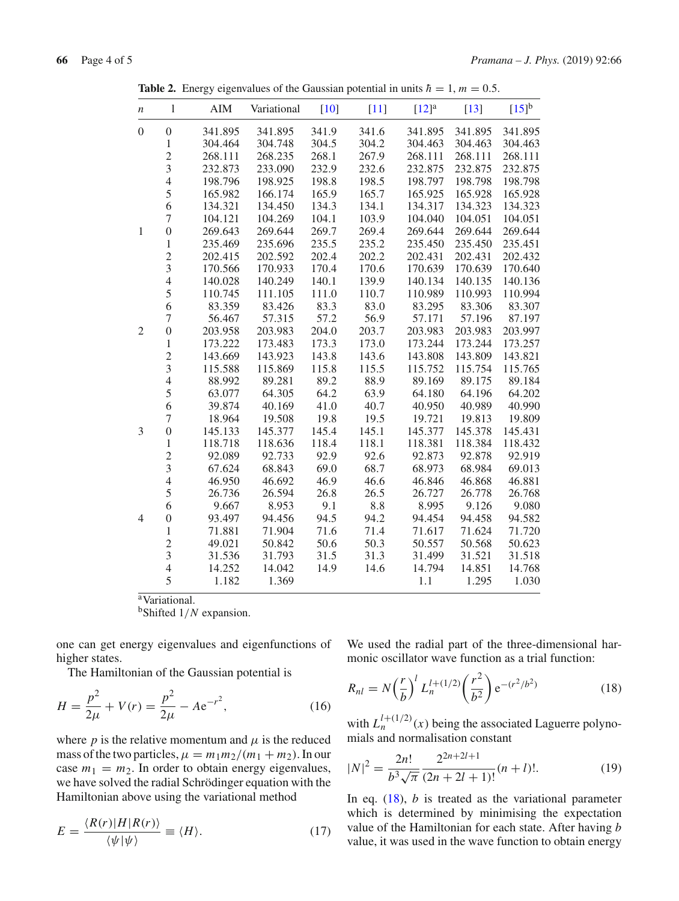| $\boldsymbol{n}$ | $\,$ $\,$        | <b>AIM</b> | Variational | $[10]$ | $[11]$ | $[12]$ <sup>a</sup> | $[13]$  | $[15]$ <sup>b</sup> |
|------------------|------------------|------------|-------------|--------|--------|---------------------|---------|---------------------|
| $\boldsymbol{0}$ | $\boldsymbol{0}$ | 341.895    | 341.895     | 341.9  | 341.6  | 341.895             | 341.895 | 341.895             |
|                  | $\,1$            | 304.464    | 304.748     | 304.5  | 304.2  | 304.463             | 304.463 | 304.463             |
|                  |                  | 268.111    | 268.235     | 268.1  | 267.9  | 268.111             | 268.111 | 268.111             |
|                  | $\frac{2}{3}$    | 232.873    | 233.090     | 232.9  | 232.6  | 232.875             | 232.875 | 232.875             |
|                  | $\overline{4}$   | 198.796    | 198.925     | 198.8  | 198.5  | 198.797             | 198.798 | 198.798             |
|                  | 5                | 165.982    | 166.174     | 165.9  | 165.7  | 165.925             | 165.928 | 165.928             |
|                  | 6                | 134.321    | 134.450     | 134.3  | 134.1  | 134.317             | 134.323 | 134.323             |
|                  | $\overline{7}$   | 104.121    | 104.269     | 104.1  | 103.9  | 104.040             | 104.051 | 104.051             |
| $\mathbf{1}$     | $\boldsymbol{0}$ | 269.643    | 269.644     | 269.7  | 269.4  | 269.644             | 269.644 | 269.644             |
|                  | $\,1$            | 235.469    | 235.696     | 235.5  | 235.2  | 235.450             | 235.450 | 235.451             |
|                  |                  | 202.415    | 202.592     | 202.4  | 202.2  | 202.431             | 202.431 | 202.432             |
|                  | $\frac{2}{3}$    | 170.566    | 170.933     | 170.4  | 170.6  | 170.639             | 170.639 | 170.640             |
|                  | $\overline{4}$   | 140.028    | 140.249     | 140.1  | 139.9  | 140.134             | 140.135 | 140.136             |
|                  | 5                | 110.745    | 111.105     | 111.0  | 110.7  | 110.989             | 110.993 | 110.994             |
|                  | 6                | 83.359     | 83.426      | 83.3   | 83.0   | 83.295              | 83.306  | 83.307              |
|                  | $\overline{7}$   | 56.467     | 57.315      | 57.2   | 56.9   | 57.171              | 57.196  | 87.197              |
| $\mathfrak{2}$   | $\boldsymbol{0}$ | 203.958    | 203.983     | 204.0  | 203.7  | 203.983             | 203.983 | 203.997             |
|                  | $\mathbf{1}$     | 173.222    | 173.483     | 173.3  | 173.0  | 173.244             | 173.244 | 173.257             |
|                  |                  | 143.669    | 143.923     | 143.8  | 143.6  | 143.808             | 143.809 | 143.821             |
|                  | $\frac{2}{3}$    | 115.588    | 115.869     | 115.8  | 115.5  | 115.752             | 115.754 | 115.765             |
|                  | $\overline{4}$   | 88.992     | 89.281      | 89.2   | 88.9   | 89.169              | 89.175  | 89.184              |
|                  | 5                | 63.077     | 64.305      | 64.2   | 63.9   | 64.180              | 64.196  | 64.202              |
|                  | 6                | 39.874     | 40.169      | 41.0   | 40.7   | 40.950              | 40.989  | 40.990              |
|                  | $\overline{7}$   | 18.964     | 19.508      | 19.8   | 19.5   | 19.721              | 19.813  | 19.809              |
| 3                | $\boldsymbol{0}$ | 145.133    | 145.377     | 145.4  | 145.1  | 145.377             | 145.378 | 145.431             |
|                  | $\mathbf{1}$     | 118.718    | 118.636     | 118.4  | 118.1  | 118.381             | 118.384 | 118.432             |
|                  | $\overline{c}$   | 92.089     | 92.733      | 92.9   | 92.6   | 92.873              | 92.878  | 92.919              |
|                  | $\overline{3}$   | 67.624     | 68.843      | 69.0   | 68.7   | 68.973              | 68.984  | 69.013              |
|                  | $\overline{4}$   | 46.950     | 46.692      | 46.9   | 46.6   | 46.846              | 46.868  | 46.881              |
|                  | 5                | 26.736     | 26.594      | 26.8   | 26.5   | 26.727              | 26.778  | 26.768              |
|                  | 6                | 9.667      | 8.953       | 9.1    | 8.8    | 8.995               | 9.126   | 9.080               |
| $\overline{4}$   | $\boldsymbol{0}$ | 93.497     | 94.456      | 94.5   | 94.2   | 94.454              | 94.458  | 94.582              |
|                  | $\mathbf{1}$     | 71.881     | 71.904      | 71.6   | 71.4   | 71.617              | 71.624  | 71.720              |
|                  | $\frac{2}{3}$    | 49.021     | 50.842      | 50.6   | 50.3   | 50.557              | 50.568  | 50.623              |
|                  |                  | 31.536     | 31.793      | 31.5   | 31.3   | 31.499              | 31.521  | 31.518              |
|                  | $\overline{4}$   | 14.252     | 14.042      | 14.9   | 14.6   | 14.794              | 14.851  | 14.768              |
|                  | 5                | 1.182      | 1.369       |        |        | 1.1                 | 1.295   | 1.030               |

<span id="page-3-0"></span>**Table 2.** Energy eigenvalues of the Gaussian potential in units  $\hbar = 1$ ,  $m = 0.5$ .

aVariational.

bShifted 1/*N* expansion.

one can get energy eigenvalues and eigenfunctions of higher states.

The Hamiltonian of the Gaussian potential is

$$
H = \frac{p^2}{2\mu} + V(r) = \frac{p^2}{2\mu} - Ae^{-r^2},
$$
 (16)

where  $p$  is the relative momentum and  $\mu$  is the reduced mass of the two particles,  $\mu = m_1 m_2/(m_1 + m_2)$ . In our case  $m_1 = m_2$ . In order to obtain energy eigenvalues, we have solved the radial Schrödinger equation with the Hamiltonian above using the variational method

$$
E = \frac{\langle R(r)|H|R(r)\rangle}{\langle \psi|\psi\rangle} \equiv \langle H\rangle. \tag{17}
$$

We used the radial part of the three-dimensional harmonic oscillator wave function as a trial function:

<span id="page-3-1"></span>
$$
R_{nl} = N \left(\frac{r}{b}\right)^l L_n^{l+(1/2)} \left(\frac{r^2}{b^2}\right) e^{-(r^2/b^2)} \tag{18}
$$

with  $L_n^{l+(1/2)}(x)$  being the associated Laguerre polynomials and normalisation constant

$$
|N|^2 = \frac{2n!}{b^3 \sqrt{\pi}} \frac{2^{2n+2l+1}}{(2n+2l+1)!} (n+l)!.
$$
 (19)

In eq. [\(18\)](#page-3-1), *b* is treated as the variational parameter which is determined by minimising the expectation value of the Hamiltonian for each state. After having *b* value, it was used in the wave function to obtain energy